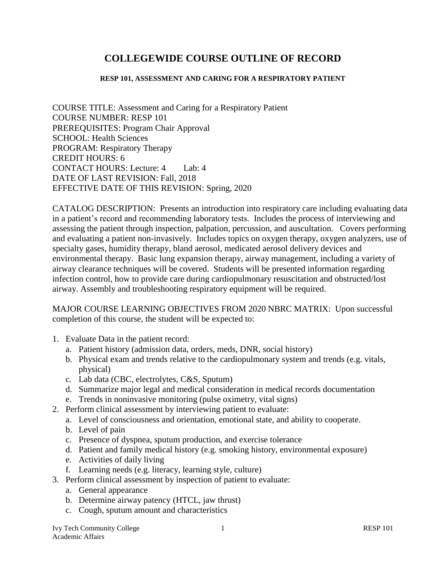# **COLLEGEWIDE COURSE OUTLINE OF RECORD**

#### **RESP 101, ASSESSMENT AND CARING FOR A RESPIRATORY PATIENT**

COURSE TITLE: Assessment and Caring for a Respiratory Patient COURSE NUMBER: RESP 101 PREREQUISITES: Program Chair Approval SCHOOL: Health Sciences PROGRAM: Respiratory Therapy CREDIT HOURS: 6 CONTACT HOURS: Lecture: 4 Lab: 4 DATE OF LAST REVISION: Fall, 2018 EFFECTIVE DATE OF THIS REVISION: Spring, 2020

CATALOG DESCRIPTION: Presents an introduction into respiratory care including evaluating data in a patient's record and recommending laboratory tests. Includes the process of interviewing and assessing the patient through inspection, palpation, percussion, and auscultation. Covers performing and evaluating a patient non-invasively. Includes topics on oxygen therapy, oxygen analyzers, use of specialty gases, humidity therapy, bland aerosol, medicated aerosol delivery devices and environmental therapy. Basic lung expansion therapy, airway management, including a variety of airway clearance techniques will be covered. Students will be presented information regarding infection control, how to provide care during cardiopulmonary resuscitation and obstructed/lost airway. Assembly and troubleshooting respiratory equipment will be required.

MAJOR COURSE LEARNING OBJECTIVES FROM 2020 NBRC MATRIX: Upon successful completion of this course, the student will be expected to:

- 1. Evaluate Data in the patient record:
	- a. Patient history (admission data, orders, meds, DNR, social history)
	- b. Physical exam and trends relative to the cardiopulmonary system and trends (e.g. vitals, physical)
	- c. Lab data (CBC, electrolytes, C&S, Sputum)
	- d. Summarize major legal and medical consideration in medical records documentation
	- e. Trends in noninvasive monitoring (pulse oximetry, vital signs)
- 2. Perform clinical assessment by interviewing patient to evaluate:
	- a. Level of consciousness and orientation, emotional state, and ability to cooperate.
	- b. Level of pain
	- c. Presence of dyspnea, sputum production, and exercise tolerance
	- d. Patient and family medical history (e.g. smoking history, environmental exposure)
	- e. Activities of daily living
	- f. Learning needs (e.g. literacy, learning style, culture)
- 3. Perform clinical assessment by inspection of patient to evaluate:
	- a. General appearance
	- b. Determine airway patency (HTCL, jaw thrust)
	- c. Cough, sputum amount and characteristics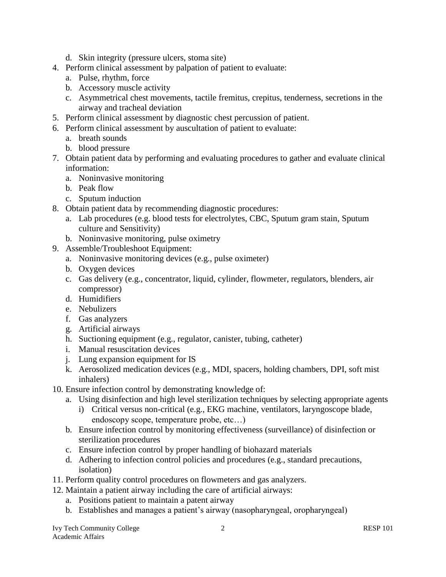- d. Skin integrity (pressure ulcers, stoma site)
- 4. Perform clinical assessment by palpation of patient to evaluate:
	- a. Pulse, rhythm, force
	- b. Accessory muscle activity
	- c. Asymmetrical chest movements, tactile fremitus, crepitus, tenderness, secretions in the airway and tracheal deviation
- 5. Perform clinical assessment by diagnostic chest percussion of patient.
- 6. Perform clinical assessment by auscultation of patient to evaluate:
	- a. breath sounds
	- b. blood pressure
- 7. Obtain patient data by performing and evaluating procedures to gather and evaluate clinical information:
	- a. Noninvasive monitoring
	- b. Peak flow
	- c. Sputum induction
- 8. Obtain patient data by recommending diagnostic procedures:
	- a. Lab procedures (e.g. blood tests for electrolytes, CBC, Sputum gram stain, Sputum culture and Sensitivity)
	- b. Noninvasive monitoring, pulse oximetry
- 9. Assemble/Troubleshoot Equipment:
	- a. Noninvasive monitoring devices (e.g., pulse oximeter)
	- b. Oxygen devices
	- c. Gas delivery (e.g., concentrator, liquid, cylinder, flowmeter, regulators, blenders, air compressor)
	- d. Humidifiers
	- e. Nebulizers
	- f. Gas analyzers
	- g. Artificial airways
	- h. Suctioning equipment (e.g., regulator, canister, tubing, catheter)
	- i. Manual resuscitation devices
	- j. Lung expansion equipment for IS
	- k. Aerosolized medication devices (e.g., MDI, spacers, holding chambers, DPI, soft mist inhalers)
- 10. Ensure infection control by demonstrating knowledge of:
	- a. Using disinfection and high level sterilization techniques by selecting appropriate agents
		- i) Critical versus non-critical (e.g., EKG machine, ventilators, laryngoscope blade, endoscopy scope, temperature probe, etc…)
	- b. Ensure infection control by monitoring effectiveness (surveillance) of disinfection or sterilization procedures
	- c. Ensure infection control by proper handling of biohazard materials
	- d. Adhering to infection control policies and procedures (e.g., standard precautions, isolation)
- 11. Perform quality control procedures on flowmeters and gas analyzers.
- 12. Maintain a patient airway including the care of artificial airways:
	- a. Positions patient to maintain a patent airway
	- b. Establishes and manages a patient's airway (nasopharyngeal, oropharyngeal)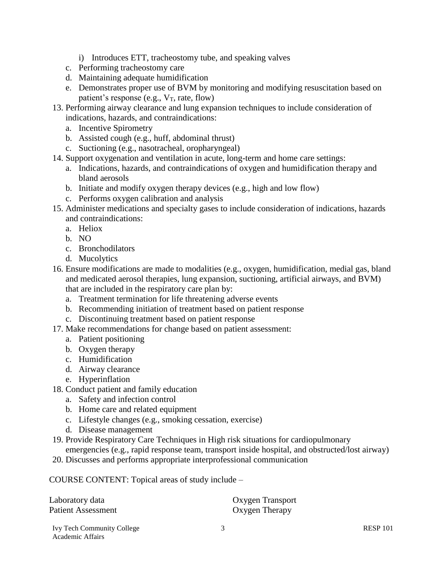- i) Introduces ETT, tracheostomy tube, and speaking valves
- c. Performing tracheostomy care
- d. Maintaining adequate humidification
- e. Demonstrates proper use of BVM by monitoring and modifying resuscitation based on patient's response (e.g.,  $V_T$ , rate, flow)
- 13. Performing airway clearance and lung expansion techniques to include consideration of indications, hazards, and contraindications:
	- a. Incentive Spirometry
	- b. Assisted cough (e.g., huff, abdominal thrust)
	- c. Suctioning (e.g., nasotracheal, oropharyngeal)
- 14. Support oxygenation and ventilation in acute, long-term and home care settings:
	- a. Indications, hazards, and contraindications of oxygen and humidification therapy and bland aerosols
	- b. Initiate and modify oxygen therapy devices (e.g., high and low flow)
	- c. Performs oxygen calibration and analysis
- 15. Administer medications and specialty gases to include consideration of indications, hazards and contraindications:
	- a. Heliox
	- b. NO
	- c. Bronchodilators
	- d. Mucolytics
- 16. Ensure modifications are made to modalities (e.g., oxygen, humidification, medial gas, bland and medicated aerosol therapies, lung expansion, suctioning, artificial airways, and BVM) that are included in the respiratory care plan by:
	- a. Treatment termination for life threatening adverse events
	- b. Recommending initiation of treatment based on patient response
	- c. Discontinuing treatment based on patient response
- 17. Make recommendations for change based on patient assessment:
	- a. Patient positioning
	- b. Oxygen therapy
	- c. Humidification
	- d. Airway clearance
	- e. Hyperinflation
- 18. Conduct patient and family education
	- a. Safety and infection control
	- b. Home care and related equipment
	- c. Lifestyle changes (e.g., smoking cessation, exercise)
	- d. Disease management
- 19. Provide Respiratory Care Techniques in High risk situations for cardiopulmonary emergencies (e.g., rapid response team, transport inside hospital, and obstructed/lost airway)
- 20. Discusses and performs appropriate interprofessional communication

COURSE CONTENT: Topical areas of study include –

| Laboratory data                   | Oxygen Transport |                 |
|-----------------------------------|------------------|-----------------|
| Patient Assessment                | Oxygen Therapy   |                 |
| <b>Ivy Tech Community College</b> |                  | <b>RESP 101</b> |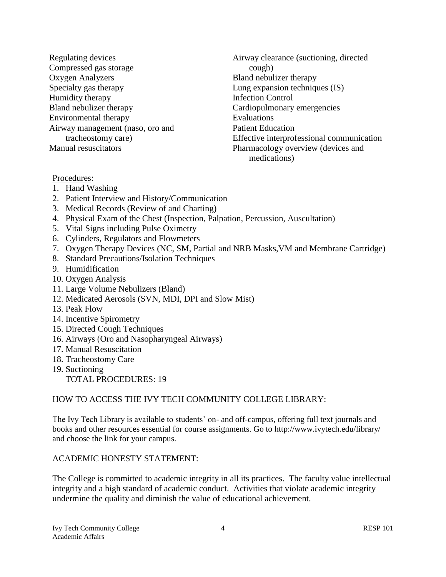Regulating devices Compressed gas storage Oxygen Analyzers Specialty gas therapy Humidity therapy Bland nebulizer therapy Environmental therapy Airway management (naso, oro and tracheostomy care) Manual resuscitators

Airway clearance (suctioning, directed cough) Bland nebulizer therapy Lung expansion techniques (IS) Infection Control Cardiopulmonary emergencies Evaluations Patient Education Effective interprofessional communication Pharmacology overview (devices and medications)

#### Procedures:

- 1. Hand Washing
- 2. Patient Interview and History/Communication
- 3. Medical Records (Review of and Charting)
- 4. Physical Exam of the Chest (Inspection, Palpation, Percussion, Auscultation)
- 5. Vital Signs including Pulse Oximetry
- 6. Cylinders, Regulators and Flowmeters
- 7. Oxygen Therapy Devices (NC, SM, Partial and NRB Masks,VM and Membrane Cartridge)
- 8. Standard Precautions/Isolation Techniques
- 9. Humidification
- 10. Oxygen Analysis
- 11. Large Volume Nebulizers (Bland)
- 12. Medicated Aerosols (SVN, MDI, DPI and Slow Mist)
- 13. Peak Flow
- 14. Incentive Spirometry
- 15. Directed Cough Techniques
- 16. Airways (Oro and Nasopharyngeal Airways)
- 17. Manual Resuscitation
- 18. Tracheostomy Care
- 19. Suctioning
	- TOTAL PROCEDURES: 19

#### HOW TO ACCESS THE IVY TECH COMMUNITY COLLEGE LIBRARY:

The Ivy Tech Library is available to students' on- and off-campus, offering full text journals and books and other resources essential for course assignments. Go to<http://www.ivytech.edu/library/> and choose the link for your campus.

#### ACADEMIC HONESTY STATEMENT:

The College is committed to academic integrity in all its practices. The faculty value intellectual integrity and a high standard of academic conduct. Activities that violate academic integrity undermine the quality and diminish the value of educational achievement.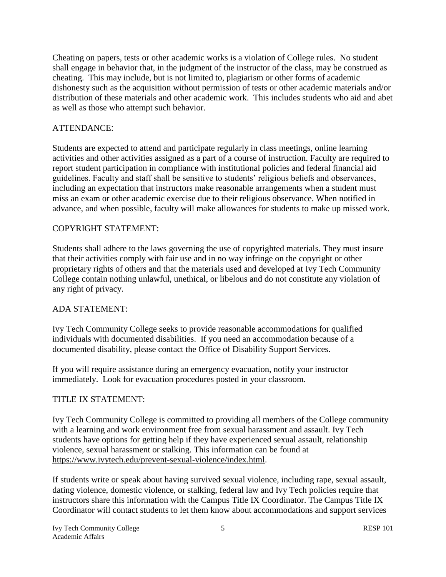Cheating on papers, tests or other academic works is a violation of College rules. No student shall engage in behavior that, in the judgment of the instructor of the class, may be construed as cheating. This may include, but is not limited to, plagiarism or other forms of academic dishonesty such as the acquisition without permission of tests or other academic materials and/or distribution of these materials and other academic work. This includes students who aid and abet as well as those who attempt such behavior.

### ATTENDANCE:

Students are expected to attend and participate regularly in class meetings, online learning activities and other activities assigned as a part of a course of instruction. Faculty are required to report student participation in compliance with institutional policies and federal financial aid guidelines. Faculty and staff shall be sensitive to students' religious beliefs and observances, including an expectation that instructors make reasonable arrangements when a student must miss an exam or other academic exercise due to their religious observance. When notified in advance, and when possible, faculty will make allowances for students to make up missed work.

#### COPYRIGHT STATEMENT:

Students shall adhere to the laws governing the use of copyrighted materials. They must insure that their activities comply with fair use and in no way infringe on the copyright or other proprietary rights of others and that the materials used and developed at Ivy Tech Community College contain nothing unlawful, unethical, or libelous and do not constitute any violation of any right of privacy.

## ADA STATEMENT:

Ivy Tech Community College seeks to provide reasonable accommodations for qualified individuals with documented disabilities. If you need an accommodation because of a documented disability, please contact the Office of Disability Support Services.

If you will require assistance during an emergency evacuation, notify your instructor immediately. Look for evacuation procedures posted in your classroom.

#### TITLE IX STATEMENT:

Ivy Tech Community College is committed to providing all members of the College community with a learning and work environment free from sexual harassment and assault. Ivy Tech students have options for getting help if they have experienced sexual assault, relationship violence, sexual harassment or stalking. This information can be found at [https://www.ivytech.edu/prevent-sexual-violence/index.html.](https://www.ivytech.edu/prevent-sexual-violence/index.html)

If students write or speak about having survived sexual violence, including rape, sexual assault, dating violence, domestic violence, or stalking, federal law and Ivy Tech policies require that instructors share this information with the Campus Title IX Coordinator. The Campus Title IX Coordinator will contact students to let them know about accommodations and support services